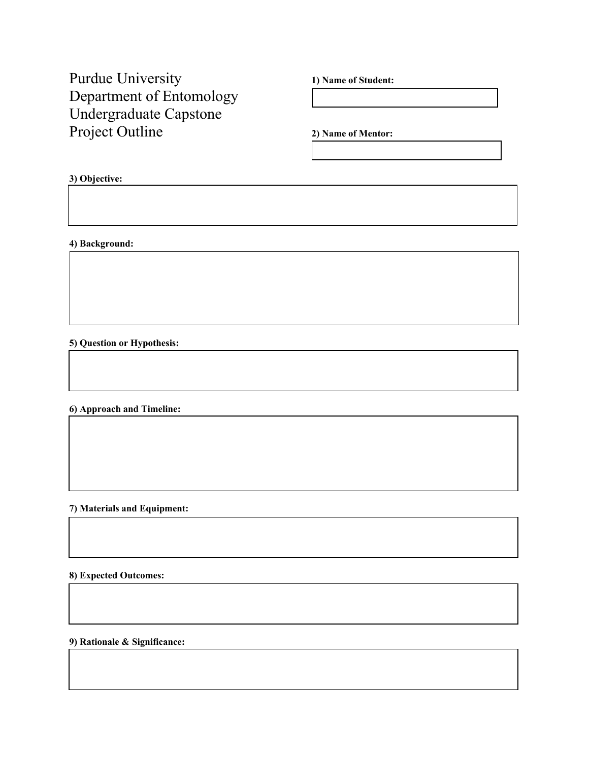Purdue University 1) Name of Student: Department of Entomology Undergraduate Capstone Project Outline **2) Name of Mentor:** 

## **3) Objective:**

**4) Background:**

**5) Question or Hypothesis:**

**6) Approach and Timeline:** 

**7) Materials and Equipment:**

**8) Expected Outcomes:**

**9) Rationale & Significance:**